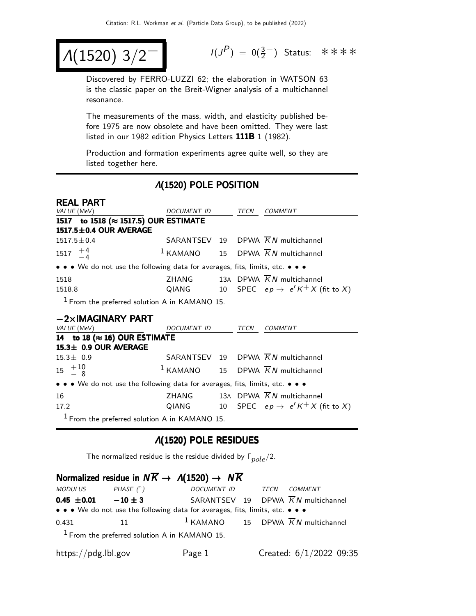$$
\Lambda(1520) 3/2^{-1}
$$

 $(P) = 0(\frac{3}{2}^-)$  Status: ∗∗∗∗

Discovered by FERRO-LUZZI 62; the elaboration in WATSON 63 is the classic paper on the Breit-Wigner analysis of a multichannel resonance.

The measurements of the mass, width, and elasticity published before 1975 are now obsolete and have been omitted. They were last listed in our 1982 edition Physics Letters 111B 1 (1982).

Production and formation experiments agree quite well, so they are listed together here.

### Λ(1520) POLE POSITION

| <b>REAL PART</b>                                                              |             |  |      |                                                          |  |
|-------------------------------------------------------------------------------|-------------|--|------|----------------------------------------------------------|--|
| VALUE (MeV)                                                                   | DOCUMENT ID |  | TECN | <b>COMMENT</b>                                           |  |
| 1517 to 1518 (≈ 1517.5) OUR ESTIMATE                                          |             |  |      |                                                          |  |
| 1517.5±0.4 OUR AVERAGE                                                        |             |  |      |                                                          |  |
| $1517.5 + 0.4$                                                                |             |  |      | SARANTSEV 19 DPWA $\overline{K}N$ multichannel           |  |
| 1517 $+4$<br>-4                                                               | $1$ KAMANO  |  |      | 15 DPWA $\overline{K}N$ multichannel                     |  |
| • • • We do not use the following data for averages, fits, limits, etc. • • • |             |  |      |                                                          |  |
| 1518                                                                          |             |  |      | ZHANG 13A DPWA $\overline{K}N$ multichannel              |  |
| 1518.8                                                                        |             |  |      | QIANG 10 SPEC $ep \rightarrow e^{t}K^{+}X$ (fit to X)    |  |
| <sup>1</sup> From the preferred solution A in KAMANO 15.                      |             |  |      |                                                          |  |
|                                                                               |             |  |      |                                                          |  |
| $-2\times$ IMAGINARY PART                                                     |             |  |      |                                                          |  |
| <i>VALUE</i> (MeV)                                                            | DOCUMENT ID |  | TECN | COMMENT                                                  |  |
| 14 to 18 ( $\approx$ 16) OUR ESTIMATE                                         |             |  |      |                                                          |  |
| 15.3± 0.9 OUR AVERAGE                                                         |             |  |      |                                                          |  |
| $15.3 \pm 0.9$                                                                |             |  |      | SARANTSEV 19 DPWA KN multichannel                        |  |
| $15^{+10}_{-8}$                                                               |             |  |      | <sup>1</sup> KAMANO 15 DPWA $\overline{K}N$ multichannel |  |
| • • • We do not use the following data for averages, fits, limits, etc. • • • |             |  |      |                                                          |  |
| 16                                                                            |             |  |      | ZHANG 13A DPWA $\overline{K}N$ multichannel              |  |
| 17.2                                                                          |             |  |      | QIANG 10 SPEC $ep \rightarrow e^{t}K^{+}X$ (fit to X)    |  |

#### Λ(1520) POLE RESIDUES

The normalized residue is the residue divided by  $\Gamma_{pole}/2$ .

| Normalized residue in $N\overline{K} \rightarrow A(1520) \rightarrow N\overline{K}$ |                                                                               |             |  |      |                                                 |  |
|-------------------------------------------------------------------------------------|-------------------------------------------------------------------------------|-------------|--|------|-------------------------------------------------|--|
| MODULUS                                                                             | PHASE $(^{\circ})$                                                            | DOCUMENT ID |  | TECN | <b>COMMENT</b>                                  |  |
| $0.45 \pm 0.01 -10 \pm 3$                                                           |                                                                               |             |  |      | SARANTSEV 19 DPWA $\overline{K}N$ multichannel  |  |
|                                                                                     | • • • We do not use the following data for averages, fits, limits, etc. • • • |             |  |      |                                                 |  |
| 0.431                                                                               | $-11$                                                                         |             |  |      | $1$ KAMANO 15 DPWA $\overline{K}N$ multichannel |  |
|                                                                                     | $1$ From the preferred solution A in KAMANO 15.                               |             |  |      |                                                 |  |
| https://pdg.lbl.gov                                                                 |                                                                               | Page 1      |  |      | Created: $6/1/2022$ 09:35                       |  |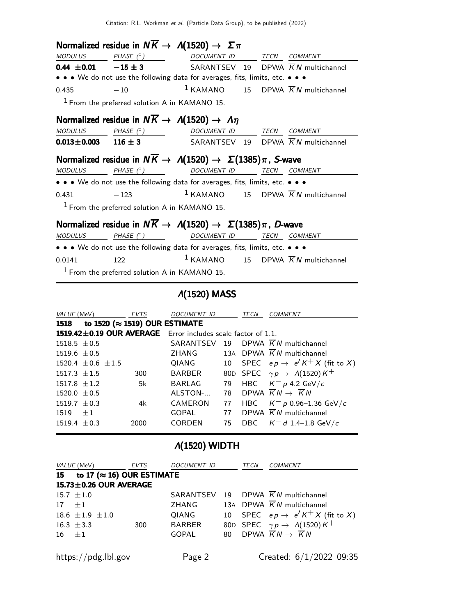|                 |                                                 | Normalized residue in $N\overline{K} \to A(1520) \to \Sigma \pi$                     |                     |
|-----------------|-------------------------------------------------|--------------------------------------------------------------------------------------|---------------------|
| <b>MODULUS</b>  |                                                 | PHASE (°) DOCUMENT ID TECN COMMENT                                                   |                     |
|                 |                                                 | <b>0.44 ±0.01</b> $-15 \pm 3$ SARANTSEV 19 DPWA $\overline{K}N$ multichannel         |                     |
|                 |                                                 | • • • We do not use the following data for averages, fits, limits, etc. • • •        |                     |
| 0.435           | $-10$                                           | <sup>1</sup> KAMANO 15 DPWA $\overline{K}N$ multichannel                             |                     |
|                 | $1$ From the preferred solution A in KAMANO 15. |                                                                                      |                     |
|                 |                                                 | Normalized residue in $N\overline{K} \to \Lambda(1520) \to \Lambda \eta$             |                     |
| MODULUS         |                                                 | PHASE (°) DOCUMENT ID TECN COMMENT                                                   |                     |
|                 |                                                 | <b>0.013±0.003</b> 116 ± 3 SARANTSEV 19 DPWA $\overline{K}N$ multichannel            |                     |
|                 |                                                 | Normalized residue in $N\overline{K} \to \Lambda(1520) \to \Sigma(1385)\pi$ , S-wave |                     |
| <b>MODULUS</b>  | PHASE $(^\circ)$                                | DOCUMENT ID                                                                          | <b>TECN COMMENT</b> |
|                 |                                                 | • • • We do not use the following data for averages, fits, limits, etc. • • •        |                     |
| $-123$<br>0.431 |                                                 | <sup>1</sup> KAMANO 15 DPWA $\overline{K}N$ multichannel                             |                     |
|                 | $1$ From the preferred solution A in KAMANO 15. |                                                                                      |                     |
|                 |                                                 | Normalized residue in $N\overline{K} \to \Lambda(1520) \to \Sigma(1385)\pi$ , D-wave |                     |
| MODULUS         |                                                 | PHASE (° ) DOCUMENT ID                                                               | TECN COMMENT        |
|                 |                                                 | • • • We do not use the following data for averages, fits, limits, etc. • • •        |                     |
| 0.0141          | 122                                             | <sup>1</sup> KAMANO 15 DPWA $\overline{K}N$ multichannel                             |                     |

1 From the preferred solution A in KAMANO 15.

Λ(1520) MASS

| VALUE (MeV)                |      | <b>EVTS</b>                                                  | DOCUMENT ID   |    | TECN | <i>COMMENT</i>                                 |
|----------------------------|------|--------------------------------------------------------------|---------------|----|------|------------------------------------------------|
| 1518                       |      | to 1520 ( $\approx$ 1519) OUR ESTIMATE                       |               |    |      |                                                |
|                            |      | 1519.42±0.19 OUR AVERAGE Error includes scale factor of 1.1. |               |    |      |                                                |
| $1518.5 + 0.5$             |      |                                                              | SARANTSEV 19  |    |      | DPWA $\overline{K}N$ multichannel              |
| $1519.6 + 0.5$             |      |                                                              | ZHANG         |    |      | 13A DPWA $\overline{K}N$ multichannel          |
| 1520.4 $\pm$ 0.6 $\pm$ 1.5 |      |                                                              | QIANG         | 10 |      | SPEC $ep \rightarrow e'K^{+}X$ (fit to X)      |
| $1517.3 \pm 1.5$           |      | 300                                                          | <b>BARBER</b> |    |      | 80D SPEC $\gamma p \rightarrow A(1520) K^+$    |
| $1517.8 + 1.2$             |      | 5k                                                           | <b>BARLAG</b> | 79 |      | HBC $K^- p 4.2 \text{ GeV}/c$                  |
| $1520.0 + 0.5$             |      |                                                              | ALSTON-       | 78 |      | DPWA $\overline{K}N \rightarrow \overline{K}N$ |
| $1519.7 + 0.3$             |      | 4k                                                           | CAMERON       | 77 | HBC  | $K^-$ p 0.96–1.36 GeV/c                        |
| 1519                       | $+1$ |                                                              | <b>GOPAL</b>  | 77 |      | DPWA $\overline{K}N$ multichannel              |
| $1519.4 + 0.3$             |      | 2000                                                         | CORDEN        | 75 | DBC. | $\mathcal{K}^-$ d 1.4–1.8 GeV/c                |

# Λ(1520) WIDTH

| <i>VALUE</i> (MeV) |                                    | EVTS | DOCUMENT ID   |    | TECN | <b>COMMENT</b>                                |
|--------------------|------------------------------------|------|---------------|----|------|-----------------------------------------------|
| 15                 | to 17 ( $\approx$ 16) OUR ESTIMATE |      |               |    |      |                                               |
|                    | $15.73 \pm 0.26$ OUR AVERAGE       |      |               |    |      |                                               |
| $15.7 \pm 1.0$     |                                    |      | SARANTSEV 19  |    |      | DPWA $\overline{K}N$ multichannel             |
| $17 + 1$           |                                    |      | ZHANG         |    |      | 13A DPWA $\overline{K}N$ multichannel         |
|                    | $18.6 \pm 1.9 \pm 1.0$             |      | QIANG         | 10 |      | SPEC $ep \rightarrow e'K^+X$ (fit to X)       |
| 16.3 $\pm$ 3.3     |                                    | 300  | <b>BARBER</b> |    |      | 80D SPEC $\gamma p \rightarrow A(1520) K^+$   |
| $16 + 1$           |                                    |      | GOPAL         | 80 |      | DPWA $\overline{K}N\rightarrow \overline{K}N$ |
|                    |                                    |      |               |    |      |                                               |
|                    | https://pdg.lbl.gov                |      | Page 2        |    |      | Created: $6/1/2022$ 09:35                     |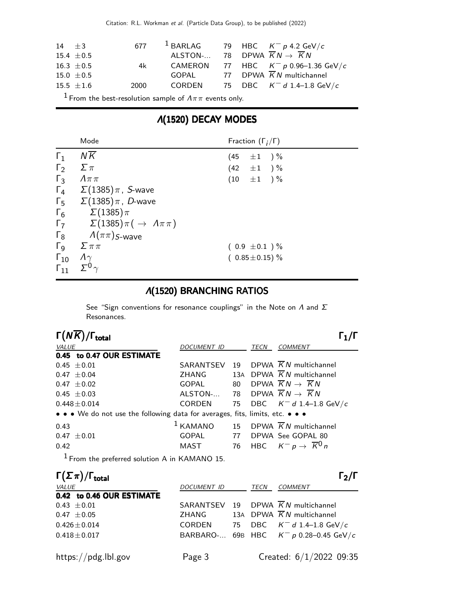Citation: R.L. Workman et al. (Particle Data Group), to be published (2022)

| $14 + 3$                                                               |                | 677  |                                                           |  |  | $^1$ BARLAG 79 HBC $K^-$ p 4.2 GeV/c           |
|------------------------------------------------------------------------|----------------|------|-----------------------------------------------------------|--|--|------------------------------------------------|
|                                                                        | $15.4 \pm 0.5$ |      | ALSTON- 78 DPWA $\overline{K}N \rightarrow \overline{K}N$ |  |  |                                                |
|                                                                        | $16.3 \pm 0.5$ | 4k l |                                                           |  |  | CAMERON 77 HBC $K^- p 0.96-1.36 \text{ GeV}/c$ |
|                                                                        | 15.0 $\pm$ 0.5 |      |                                                           |  |  | GOPAL 77 DPWA $\overline{K}N$ multichannel     |
|                                                                        | $15.5 \pm 1.6$ | 2000 |                                                           |  |  | CORDEN 75 DBC $K^- d 1.4-1.8 \text{ GeV}/c$    |
| <sup>1</sup> From the best-resolution sample of $A\pi\pi$ events only. |                |      |                                                           |  |  |                                                |

### Λ(1520) DECAY MODES

|                       | Mode                                                    | Fraction $(\Gamma_i/\Gamma)$ |
|-----------------------|---------------------------------------------------------|------------------------------|
| $\Gamma_1$            | $N\overline{K}$                                         | (45<br>$\pm 1$ ) %           |
| $\Gamma_2$            | $\Sigma \pi$                                            | $(42 \pm 1) \%$              |
| $\Gamma_3$            | $\Lambda \pi \pi$                                       | $(10 \pm 1) \%$              |
|                       | $\Gamma_4$ $\Sigma(1385)\pi$ , <i>S</i> -wave           |                              |
|                       | $\Gamma_5$ $\Sigma(1385)\pi$ , <i>D</i> -wave           |                              |
| $\Gamma_6$            | $\Sigma(1385)\pi$                                       |                              |
|                       | $\Gamma_7$ $\Sigma(1385)\pi(\rightarrow \Lambda\pi\pi)$ |                              |
|                       | $\Gamma_8$ $\Lambda(\pi\pi)$ <sub>S-Wave</sub>          |                              |
| $\Gamma$ <sub>9</sub> | $\sum \pi \pi$                                          | $(0.9 \pm 0.1) \%$           |
| $\Gamma_{10}$         | $\Lambda\gamma$                                         | $(0.85 \pm 0.15)$ %          |
| $\Gamma_{11}$         |                                                         |                              |

### Λ(1520) BRANCHING RATIOS

See "Sign conventions for resonance couplings" in the Note on  $\Lambda$  and  $\Sigma$ Resonances.

| $\Gamma(N\overline{K})/\Gamma_{\rm total}$                                    |               |    |             |                                                          |
|-------------------------------------------------------------------------------|---------------|----|-------------|----------------------------------------------------------|
| VALUE                                                                         | DOCUMENT ID   |    | <b>TECN</b> | <b>COMMENT</b>                                           |
| 0.45 to 0.47 OUR ESTIMATE                                                     |               |    |             |                                                          |
| $0.45 \pm 0.01$                                                               | SARANTSEV     |    |             | 19 DPWA $\overline{K}N$ multichannel                     |
| $0.47 \pm 0.04$                                                               | ZHANG         |    |             | 13A DPWA $\overline{K}N$ multichannel                    |
| $0.47 \pm 0.02$                                                               | GOPAL         | 80 |             | DPWA $\overline{K}N\rightarrow \overline{K}N$            |
| $0.45 \pm 0.03$                                                               | ALSTON-       |    |             | 78 DPWA $\overline{K}N \rightarrow \overline{K}N$        |
| $0.448 \pm 0.014$                                                             | <b>CORDEN</b> | 75 |             | DBC $K^- d 1.4-1.8 \text{ GeV}/c$                        |
| • • • We do not use the following data for averages, fits, limits, etc. • • • |               |    |             |                                                          |
| 0.43                                                                          |               |    |             | <sup>1</sup> KAMANO 15 DPWA $\overline{K}N$ multichannel |
| $0.47 \pm 0.01$                                                               | GOPAL         | 77 |             | DPWA See GOPAL 80                                        |
| 0.42                                                                          | MAST          |    |             | 76 HBC $K^- p \rightarrow \overline{K}^0 n$              |

1 From the preferred solution A in KAMANO 15.

| $\Gamma(\Sigma \pi)/\Gamma_{\rm total}$ |             |    |      | $\Gamma_2/\Gamma$                        |
|-----------------------------------------|-------------|----|------|------------------------------------------|
| VALUE                                   | DOCUMENT ID |    | TECN | <b>COMMENT</b>                           |
| 0.42 to 0.46 OUR ESTIMATE               |             |    |      |                                          |
| $0.43 \pm 0.01$                         | SARANTSEV   | 19 |      | DPWA $\overline{K}N$ multichannel        |
| $0.47 \pm 0.05$                         | ZHANG       |    |      | 13A DPWA $\overline{K}N$ multichannel    |
| $0.426 \pm 0.014$                       | CORDEN      |    |      | 75 DBC $K^- d$ 1.4-1.8 GeV/c             |
| $0.418 \pm 0.017$                       |             |    |      | BARBARO- 69B HBC $K^- p$ 0.28-0.45 GeV/c |
|                                         |             |    |      |                                          |
| https://pdg.lbl.gov                     | Page 3      |    |      | Created: $6/1/2022$ 09:35                |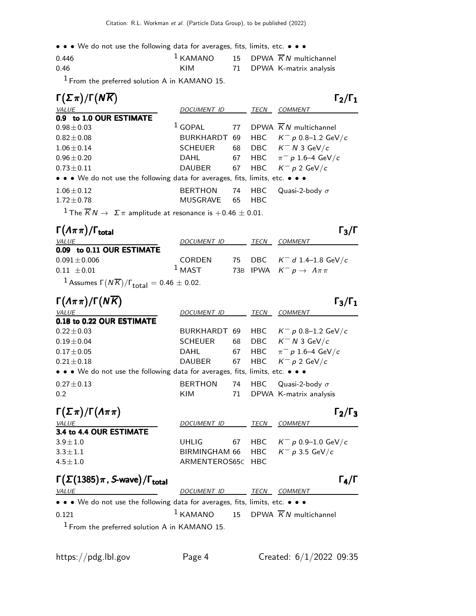• • • We do not use the following data for averages, fits, limits, etc. • • •

| 0.446 |     | $1$ KAMANO 15 DPWA $\overline{K}N$ multichannel |
|-------|-----|-------------------------------------------------|
| 0.46  | KIM | 71 DPWA K-matrix analysis                       |

1 From the preferred solution A in KAMANO 15.

| $\Gamma(\Sigma \pi)/\Gamma(N\overline{K})$                                                   |                    |      |            | $\Gamma_2/\Gamma_1$                                     |  |
|----------------------------------------------------------------------------------------------|--------------------|------|------------|---------------------------------------------------------|--|
| VALUE                                                                                        | <b>DOCUMENT ID</b> |      | TECN       | <b>COMMENT</b>                                          |  |
| 0.9 to 1.0 OUR ESTIMATE                                                                      |                    |      |            |                                                         |  |
| $0.98 \pm 0.03$                                                                              |                    |      |            | <sup>1</sup> GOPAL 77 DPWA $\overline{K}N$ multichannel |  |
| $0.82 \pm 0.08$                                                                              |                    |      |            | BURKHARDT 69 HBC $K^- p$ 0.8-1.2 GeV/c                  |  |
| $1.06 \pm 0.14$                                                                              | SCHEUER            |      |            | 68 DBC $K^- N$ 3 GeV/c                                  |  |
| $0.96 \pm 0.20$                                                                              | DAHL               | 67   |            | HBC $\pi^- p 1.6-4 \text{ GeV}/c$                       |  |
| $0.73 \pm 0.11$                                                                              | DAUBER             | 67   |            | HBC $K^- p 2 \text{ GeV}/c$                             |  |
| • • • We do not use the following data for averages, fits, limits, etc. • • •                |                    |      |            |                                                         |  |
| $1.06 \pm 0.12$                                                                              | BERTHON 74         |      | <b>HBC</b> | Quasi-2-body $\sigma$                                   |  |
| $1.72 \pm 0.78$                                                                              | <b>MUSGRAVE</b>    | - 65 | <b>HBC</b> |                                                         |  |
| <sup>1</sup> The $\overline{K}N \to \Sigma \pi$ amplitude at resonance is $+0.46 \pm 0.01$ . |                    |      |            |                                                         |  |

| $\Gamma(\Lambda \pi \pi)/\Gamma_{\rm total}$                           |               |             | $\Gamma_3/\Gamma$                            |
|------------------------------------------------------------------------|---------------|-------------|----------------------------------------------|
| <b>VALUE</b>                                                           | DOCUMENT ID   | <i>TECN</i> | <i>COMMENT</i>                               |
| 0.09 to 0.11 OUR ESTIMATE                                              |               |             |                                              |
| $0.091 \pm 0.006$                                                      | <b>CORDEN</b> |             | 75 DBC $K^- d 1.4-1.8 \text{ GeV}/c$         |
| $0.11 \pm 0.01$                                                        | $1$ MAST      |             | 73B IPWA $K^- p \rightarrow \Lambda \pi \pi$ |
| $1_{\text{Acensure}}$ $\Gamma(N\overline{k})/\Gamma$ = 0.46 $\pm$ 0.02 |               |             |                                              |

 $1$  Assumes  $\Gamma(N\overline{K})/\Gamma_{\rm total} = 0.46 \pm 0.02.$ 

| $\Gamma(\Lambda \pi \pi)/\Gamma(N\overline{K})$                               |                              |          |      | $\Gamma_3/\Gamma_1$                             |  |
|-------------------------------------------------------------------------------|------------------------------|----------|------|-------------------------------------------------|--|
| VALUE                                                                         | <b>DOCUMENT ID</b>           |          | TECN | COMMENT                                         |  |
| 0.18 to 0.22 OUR ESTIMATE                                                     |                              |          |      |                                                 |  |
| $0.22 \pm 0.03$                                                               |                              |          |      | BURKHARDT 69 HBC $K^- p$ 0.8-1.2 GeV/c          |  |
| $0.19 \pm 0.04$                                                               | <b>SCHEUER</b>               | 68       |      | DBC $K^- N$ 3 GeV/c                             |  |
| $0.17 \pm 0.05$                                                               | DAHL                         | 67       |      | HBC $\pi^- p 1.6-4 \text{ GeV}/c$               |  |
| $0.21 \pm 0.18$                                                               | DAUBER                       | 67       |      | HBC $K^- p 2 \text{ GeV}/c$                     |  |
| • • • We do not use the following data for averages, fits, limits, etc. • • • |                              |          |      |                                                 |  |
| $0.27 \pm 0.13$<br>0.2                                                        | <b>BERTHON</b><br><b>KIM</b> | 74<br>71 | HBC. | Quasi-2-body $\sigma$<br>DPWA K-matrix analysis |  |
|                                                                               |                              |          |      |                                                 |  |

| $\Gamma(\Sigma \pi)/\Gamma(\Lambda \pi \pi)$ |                                     |      | $\Gamma_2/\Gamma_3$            |
|----------------------------------------------|-------------------------------------|------|--------------------------------|
| <i>VALUE</i>                                 | DOCUMENT ID                         | TECN | <i>COMMENT</i>                 |
| 3.4 to 4.4 OUR ESTIMATE                      |                                     |      |                                |
| $3.9 \pm 1.0$                                | UHLIG                               |      | 67 HBC $K^- p 0.9 - 1.0$ GeV/c |
| $3.3 + 1.1$                                  | BIRMINGHAM 66 HBC $K^- p 3.5$ GeV/c |      |                                |
| $4.5 + 1.0$                                  | ARMENTEROS65C HBC                   |      |                                |
|                                              |                                     |      |                                |

## Γ $(\Sigma(1385)\pi$ , S-wave)/Γ<sub>total</sub> Γαριασίας Γαρακτικός Γαρ

| <i>VALUE</i>                                                                  | DOCUMENT ID | TECN<br><i>COMMENT</i>                          |
|-------------------------------------------------------------------------------|-------------|-------------------------------------------------|
| • • • We do not use the following data for averages, fits, limits, etc. • • • |             |                                                 |
| 0.121                                                                         |             | $1$ KAMANO 15 DPWA $\overline{K}N$ multichannel |
|                                                                               |             |                                                 |

1 From the preferred solution A in KAMANO 15.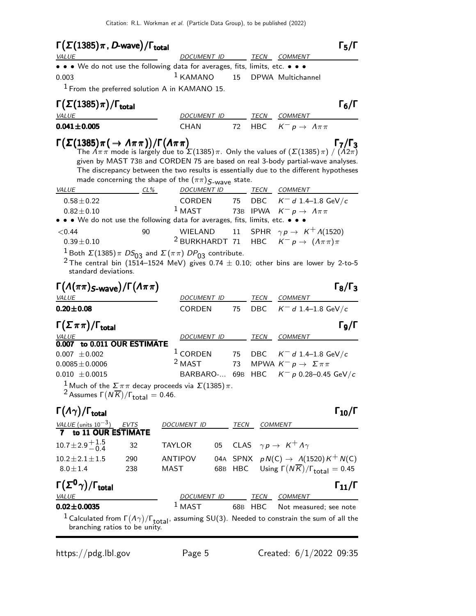| $\Gamma(\Sigma(1385)\pi, D$ -wave)/ $\Gamma_{\rm total}$                                                                                                                                                                                                                                                                                                                                                                                                                              |                                                     |      |            |                                                                    | $\Gamma_5/\Gamma$    |
|---------------------------------------------------------------------------------------------------------------------------------------------------------------------------------------------------------------------------------------------------------------------------------------------------------------------------------------------------------------------------------------------------------------------------------------------------------------------------------------|-----------------------------------------------------|------|------------|--------------------------------------------------------------------|----------------------|
| <i>VALUE</i>                                                                                                                                                                                                                                                                                                                                                                                                                                                                          | DOCUMENT ID                                         |      |            | TECN COMMENT                                                       |                      |
| • • • We do not use the following data for averages, fits, limits, etc. • • •                                                                                                                                                                                                                                                                                                                                                                                                         |                                                     |      |            |                                                                    |                      |
| 0.003                                                                                                                                                                                                                                                                                                                                                                                                                                                                                 | $1$ KAMANO                                          | 15   |            | DPWA Multichannel                                                  |                      |
| $1$ From the preferred solution A in KAMANO 15.                                                                                                                                                                                                                                                                                                                                                                                                                                       |                                                     |      |            |                                                                    |                      |
| $\Gamma(\Sigma(1385)\pi)/\Gamma_{\rm total}$                                                                                                                                                                                                                                                                                                                                                                                                                                          |                                                     |      |            |                                                                    | $\Gamma_6/\Gamma$    |
| <b>VALUE</b>                                                                                                                                                                                                                                                                                                                                                                                                                                                                          | DOCUMENT ID                                         |      | TECN       | <b>COMMENT</b>                                                     |                      |
| $0.041 \pm 0.005$                                                                                                                                                                                                                                                                                                                                                                                                                                                                     | <b>CHAN</b>                                         | 72   | <b>HBC</b> | $K^- p \to \Lambda \pi \pi$                                        |                      |
| $\Gamma(\Sigma(1385)\pi(\rightarrow \Lambda\pi\pi))/\Gamma(\Lambda\pi\pi)$<br>$\Gamma_7/\Gamma_3$<br>The $\Lambda \pi\pi$ mode is largely due to $\Sigma(1385)\pi$ . Only the values of $(\Sigma(1385)\pi)$ / $(\Lambda 2\pi)$<br>given by MAST 73B and CORDEN 75 are based on real 3-body partial-wave analyses.<br>The discrepancy between the two results is essentially due to the different hypotheses<br>made concerning the shape of the $(\pi \pi)$ $S_{\text{-wave}}$ state. |                                                     |      |            |                                                                    |                      |
| <i>VALUE</i><br>CL%<br>$0.58 \pm 0.22$                                                                                                                                                                                                                                                                                                                                                                                                                                                | DOCUMENT ID<br>CORDEN 75                            |      |            | <i>TECN COMMENT</i><br>DBC $K^- d 1.4-1.8 \text{ GeV}/c$           |                      |
| $0.82 \pm 0.10$                                                                                                                                                                                                                                                                                                                                                                                                                                                                       | $^1$ MAST                                           |      | 73B IPWA   | $\mathcal{K}^-\, p \,\rightarrow\,\, \varLambda\pi\pi$             |                      |
| • • • We do not use the following data for averages, fits, limits, etc. • •                                                                                                                                                                                                                                                                                                                                                                                                           |                                                     |      |            |                                                                    |                      |
| < 0.44<br>90                                                                                                                                                                                                                                                                                                                                                                                                                                                                          | WIELAND                                             | 11   |            | SPHR $\gamma p \rightarrow K^+ \Lambda(1520)$                      |                      |
| $0.39 \pm 0.10$                                                                                                                                                                                                                                                                                                                                                                                                                                                                       |                                                     |      |            | <sup>2</sup> BURKHARDT 71 HBC $K^- p \rightarrow (A \pi \pi) \pi$  |                      |
| <sup>2</sup> The central bin (1514–1524 MeV) gives 0.74 $\pm$ 0.10; other bins are lower by 2-to-5<br>standard deviations.<br>$\Gamma(\Lambda(\pi\pi)_{S\text{-wave}})/\Gamma(\Lambda\pi\pi)$                                                                                                                                                                                                                                                                                         |                                                     |      |            |                                                                    | $\Gamma_8/\Gamma_3$  |
| <b>VALUE</b>                                                                                                                                                                                                                                                                                                                                                                                                                                                                          | DOCUMENT ID                                         |      | TECN       | COMMENT                                                            |                      |
| $0.20 \pm 0.08$                                                                                                                                                                                                                                                                                                                                                                                                                                                                       | <b>CORDEN</b>                                       | 75   | DBC        | $K^-$ d 1.4-1.8 GeV/c                                              |                      |
| $\Gamma(\Sigma \pi \pi)/\Gamma_{\rm total}$<br>0.007 to 0.011 OUR ESTIMATE                                                                                                                                                                                                                                                                                                                                                                                                            | DOCUMENT ID                                         |      | TECN       | <b>COMMENT</b>                                                     | $\Gamma_9/\Gamma$    |
| $0.007 \pm 0.002$                                                                                                                                                                                                                                                                                                                                                                                                                                                                     | $1$ CORDEN                                          | 75   | DBC        | $K^-$ d 1.4–1.8 GeV/c                                              |                      |
| $0.0085 \pm 0.0006$                                                                                                                                                                                                                                                                                                                                                                                                                                                                   | <sup>2</sup> MAST                                   | 73   |            | MPWA $K^- p \rightarrow \Sigma \pi \pi$                            |                      |
| $0.010 \pm 0.0015$                                                                                                                                                                                                                                                                                                                                                                                                                                                                    | BARBARO- 69B                                        |      | HBC        | $K^- p$ 0.28-0.45 GeV/c                                            |                      |
| <sup>1</sup> Much of the $\Sigma \pi \pi$ decay proceeds via $\Sigma(1385) \pi$ .<br><sup>2</sup> Assumes $\Gamma(N\overline{K})/\Gamma_{\text{total}} = 0.46$ .                                                                                                                                                                                                                                                                                                                      |                                                     |      |            |                                                                    |                      |
| $\Gamma(\Lambda \gamma)/\Gamma_{\rm total}$                                                                                                                                                                                                                                                                                                                                                                                                                                           |                                                     |      |            |                                                                    | $\Gamma_{10}/\Gamma$ |
| $\frac{\textit{VALUE}\;(\text{units}\;10^{-3})}{\textbf{7}}\;\frac{\textit{EVTS}}{\textbf{to}\;11\;\textbf{OUR}\;\textbf{ESTIMATE}}$                                                                                                                                                                                                                                                                                                                                                  | DOCUMENT ID                                         | TECN |            | <b>COMMENT</b>                                                     |                      |
| $10.7 \pm 2.9 \stackrel{+ 1.5}{_{- 0.4}}$<br>32                                                                                                                                                                                                                                                                                                                                                                                                                                       | <b>TAYLOR</b>                                       | 05   |            | CLAS $\gamma p \rightarrow K^+ \Lambda \gamma$                     |                      |
| $10.2 \pm 2.1 \pm 1.5$<br>290                                                                                                                                                                                                                                                                                                                                                                                                                                                         | ANTIPOV                                             |      |            | 04A SPNX $pN(C) \rightarrow \Lambda(1520)K^{+}N(C)$                |                      |
| $8.0 \pm 1.4$<br>238                                                                                                                                                                                                                                                                                                                                                                                                                                                                  | MAST                                                |      |            | 68B HBC Using $\Gamma(N\overline{K})/\Gamma_{\text{total}} = 0.45$ |                      |
| $\Gamma(\Sigma^0\gamma)/\Gamma_{\rm total}$<br><b>VALUE</b>                                                                                                                                                                                                                                                                                                                                                                                                                           |                                                     |      |            |                                                                    | $\Gamma_{11}/\Gamma$ |
| $0.02 \pm 0.0035$                                                                                                                                                                                                                                                                                                                                                                                                                                                                     | DOCUMENT ID TECN COMMENT<br>1 MAST 68R HRC Not mass |      | 68B HBC    | Not measured; see note                                             |                      |
| <sup>1</sup> Calculated from $\Gamma(A\gamma)/\Gamma_{total}$ , assuming SU(3). Needed to constrain the sum of all the branching ratios to be unity.                                                                                                                                                                                                                                                                                                                                  |                                                     |      |            |                                                                    |                      |

https://pdg.lbl.gov Page 5 Created: 6/1/2022 09:35